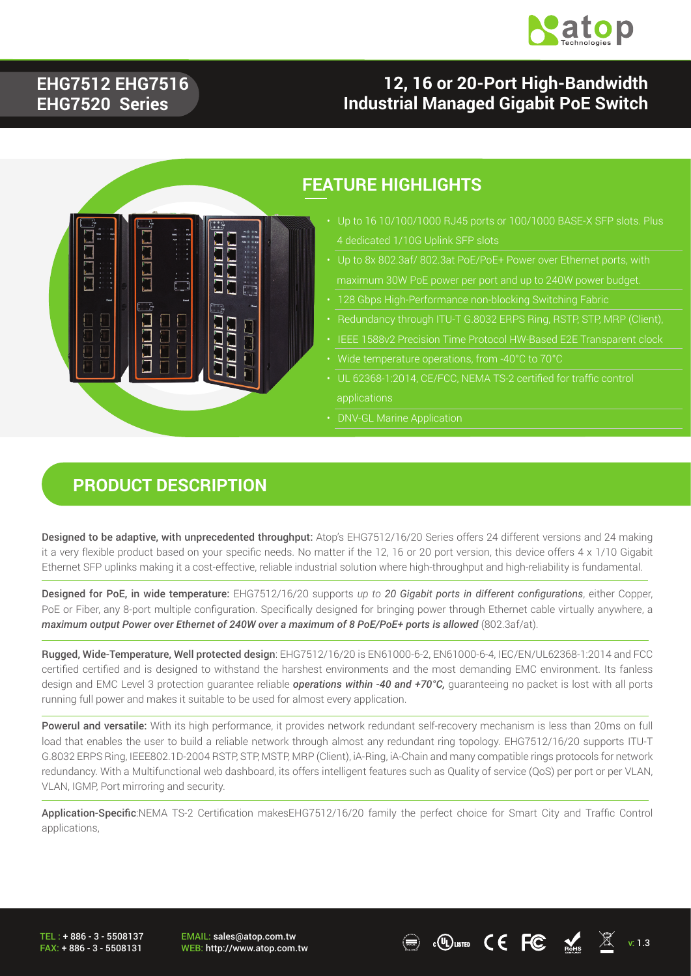

### **EHG7512 EHG7516 EHG7520 Series**

### **12, 16 or 20-Port High-Bandwidth Industrial Managed Gigabit PoE Switch**



#### **FEATURE HIGHLIGHTS**

- 4 dedicated 1/10G Uplink SFP slots
- 
- 
- 
- 
- 
- UL 62368-1:2014, CE/FCC, NEMA TS-2 certified for traffic control applications
- DNV-GL Marine Application

### **PRODUCT DESCRIPTION**

Designed to be adaptive, with unprecedented throughput: Atop's EHG7512/16/20 Series offers 24 different versions and 24 making it a very flexible product based on your specific needs. No matter if the 12, 16 or 20 port version, this device offers 4 x 1/10 Gigabit Ethernet SFP uplinks making it a cost-effective, reliable industrial solution where high-throughput and high-reliability is fundamental.

Designed for PoE, in wide temperature: EHG7512/16/20 supports *up to 20 Gigabit ports in different configurations*, either Copper, PoE or Fiber, any 8-port multiple configuration. Specifically designed for bringing power through Ethernet cable virtually anywhere, a *maximum output Power over Ethernet of 240W over a maximum of 8 PoE/PoE+ ports is allowed (802.3af/at).* 

Rugged, Wide-Temperature, Well protected design: EHG7512/16/20 is EN61000-6-2, EN61000-6-4, IEC/EN/UL62368-1:2014 and FCC certified certified and is designed to withstand the harshest environments and the most demanding EMC environment. Its fanless design and EMC Level 3 protection guarantee reliable *operations within -40 and +70°C,* guaranteeing no packet is lost with all ports running full power and makes it suitable to be used for almost every application.

Powerul and versatile: With its high performance, it provides network redundant self-recovery mechanism is less than 20ms on full load that enables the user to build a reliable network through almost any redundant ring topology. EHG7512/16/20 supports ITU-T G.8032 ERPS Ring, IEEE802.1D-2004 RSTP, STP, MSTP, MRP (Client), iA-Ring, iA-Chain and many compatible rings protocols for network redundancy. With a Multifunctional web dashboard, its offers intelligent features such as Quality of service (QoS) per port or per VLAN, VLAN, IGMP, Port mirroring and security.

Application-Specific:NEMA TS-2 Certification makesEHG7512/16/20 family the perfect choice for Smart City and Traffic Control applications,

TEL : + 886 - 3 - 5508137 FAX: + 886 - 3 - 5508131 EMAIL: sales@atop.com.tw

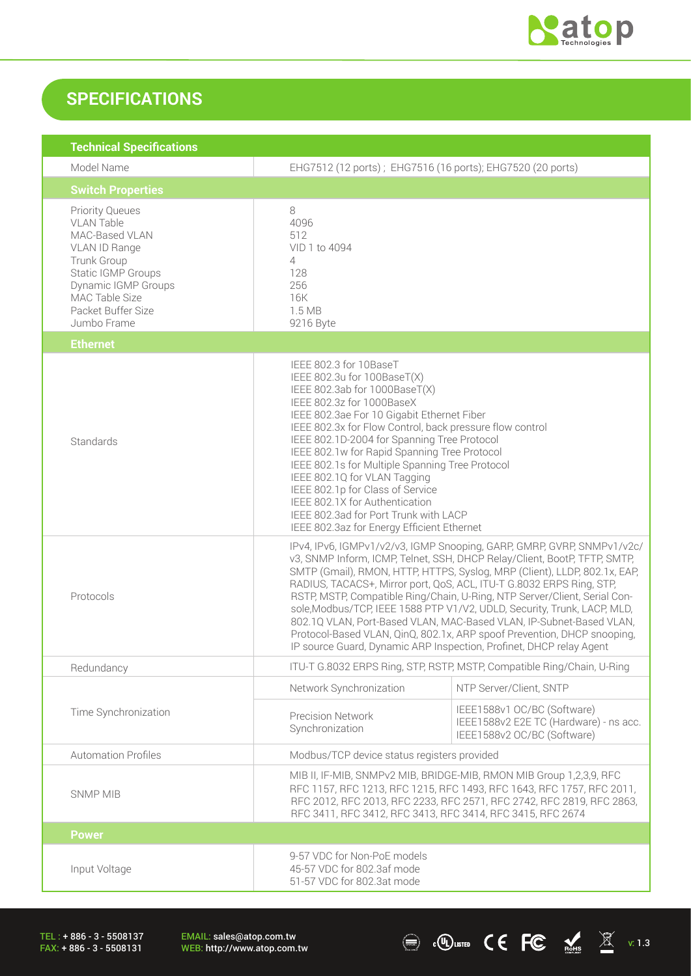

 $\sum_{\text{Rohs}}$   $\sum_{\text{Rohs}}$   $\sum_{\text{Rohs}}$  v: 1.3

### **SPECIFICATIONS**

| <b>Technical Specifications</b>                                                                                                                                                                   |                                                                                                                                                                                                                                                                                                                                                                                                                                                                                                                                                                                                                                                                                            |                                                                                                      |  |
|---------------------------------------------------------------------------------------------------------------------------------------------------------------------------------------------------|--------------------------------------------------------------------------------------------------------------------------------------------------------------------------------------------------------------------------------------------------------------------------------------------------------------------------------------------------------------------------------------------------------------------------------------------------------------------------------------------------------------------------------------------------------------------------------------------------------------------------------------------------------------------------------------------|------------------------------------------------------------------------------------------------------|--|
| Model Name                                                                                                                                                                                        | EHG7512 (12 ports); EHG7516 (16 ports); EHG7520 (20 ports)                                                                                                                                                                                                                                                                                                                                                                                                                                                                                                                                                                                                                                 |                                                                                                      |  |
| <b>Switch Properties</b>                                                                                                                                                                          |                                                                                                                                                                                                                                                                                                                                                                                                                                                                                                                                                                                                                                                                                            |                                                                                                      |  |
| <b>Priority Queues</b><br><b>VLAN Table</b><br>MAC-Based VLAN<br>VLAN ID Range<br>Trunk Group<br>Static IGMP Groups<br>Dynamic IGMP Groups<br>MAC Table Size<br>Packet Buffer Size<br>Jumbo Frame | 8<br>4096<br>512<br>VID 1 to 4094<br>4<br>128<br>256<br>16K<br>1.5 MB<br>9216 Byte                                                                                                                                                                                                                                                                                                                                                                                                                                                                                                                                                                                                         |                                                                                                      |  |
| <b>Ethernet</b>                                                                                                                                                                                   |                                                                                                                                                                                                                                                                                                                                                                                                                                                                                                                                                                                                                                                                                            |                                                                                                      |  |
| Standards                                                                                                                                                                                         | IEEE 802.3 for 10BaseT<br>IEEE 802.3u for 100BaseT(X)<br>IEEE 802.3ab for 1000BaseT(X)<br>IEEE 802.3z for 1000BaseX<br>IEEE 802.3ae For 10 Gigabit Ethernet Fiber<br>IEEE 802.3x for Flow Control, back pressure flow control<br>IEEE 802.1D-2004 for Spanning Tree Protocol<br>IEEE 802.1w for Rapid Spanning Tree Protocol<br>IEEE 802.1s for Multiple Spanning Tree Protocol<br>IEEE 802.1Q for VLAN Tagging<br>IEEE 802.1p for Class of Service<br>IEEE 802.1X for Authentication<br>IEEE 802.3ad for Port Trunk with LACP<br>IEEE 802.3az for Energy Efficient Ethernet                                                                                                               |                                                                                                      |  |
| Protocols                                                                                                                                                                                         | IPv4, IPv6, IGMPv1/v2/v3, IGMP Snooping, GARP, GMRP, GVRP, SNMPv1/v2c/<br>v3, SNMP Inform, ICMP, Telnet, SSH, DHCP Relay/Client, BootP, TFTP, SMTP,<br>SMTP (Gmail), RMON, HTTP, HTTPS, Syslog, MRP (Client), LLDP, 802.1x, EAP,<br>RADIUS, TACACS+, Mirror port, QoS, ACL, ITU-T G.8032 ERPS Ring, STP,<br>RSTP, MSTP, Compatible Ring/Chain, U-Ring, NTP Server/Client, Serial Con-<br>sole, Modbus/TCP, IEEE 1588 PTP V1/V2, UDLD, Security, Trunk, LACP, MLD,<br>802.1Q VLAN, Port-Based VLAN, MAC-Based VLAN, IP-Subnet-Based VLAN,<br>Protocol-Based VLAN, QinQ, 802.1x, ARP spoof Prevention, DHCP snooping,<br>IP source Guard, Dynamic ARP Inspection, Profinet, DHCP relay Agent |                                                                                                      |  |
| Redundancy                                                                                                                                                                                        | ITU-T G.8032 ERPS Ring, STP, RSTP, MSTP, Compatible Ring/Chain, U-Ring                                                                                                                                                                                                                                                                                                                                                                                                                                                                                                                                                                                                                     |                                                                                                      |  |
|                                                                                                                                                                                                   | Network Synchronization                                                                                                                                                                                                                                                                                                                                                                                                                                                                                                                                                                                                                                                                    | NTP Server/Client, SNTP                                                                              |  |
| Time Synchronization                                                                                                                                                                              | <b>Precision Network</b><br>Synchronization                                                                                                                                                                                                                                                                                                                                                                                                                                                                                                                                                                                                                                                | IEEE1588v1 OC/BC (Software)<br>IEEE1588v2 E2E TC (Hardware) - ns acc.<br>IEEE1588v2 OC/BC (Software) |  |
| <b>Automation Profiles</b>                                                                                                                                                                        | Modbus/TCP device status registers provided                                                                                                                                                                                                                                                                                                                                                                                                                                                                                                                                                                                                                                                |                                                                                                      |  |
| <b>SNMP MIB</b>                                                                                                                                                                                   | MIB II, IF-MIB, SNMPv2 MIB, BRIDGE-MIB, RMON MIB Group 1,2,3,9, RFC<br>RFC 1157, RFC 1213, RFC 1215, RFC 1493, RFC 1643, RFC 1757, RFC 2011,<br>RFC 2012, RFC 2013, RFC 2233, RFC 2571, RFC 2742, RFC 2819, RFC 2863,<br>RFC 3411, RFC 3412, RFC 3413, RFC 3414, RFC 3415, RFC 2674                                                                                                                                                                                                                                                                                                                                                                                                        |                                                                                                      |  |
| <b>Power</b>                                                                                                                                                                                      |                                                                                                                                                                                                                                                                                                                                                                                                                                                                                                                                                                                                                                                                                            |                                                                                                      |  |
| Input Voltage                                                                                                                                                                                     | 9-57 VDC for Non-PoE models<br>45-57 VDC for 802.3af mode<br>51-57 VDC for 802.3at mode                                                                                                                                                                                                                                                                                                                                                                                                                                                                                                                                                                                                    |                                                                                                      |  |

TEL : + 886 - 3 - 5508137 FAX: + 886 - 3 - 5508131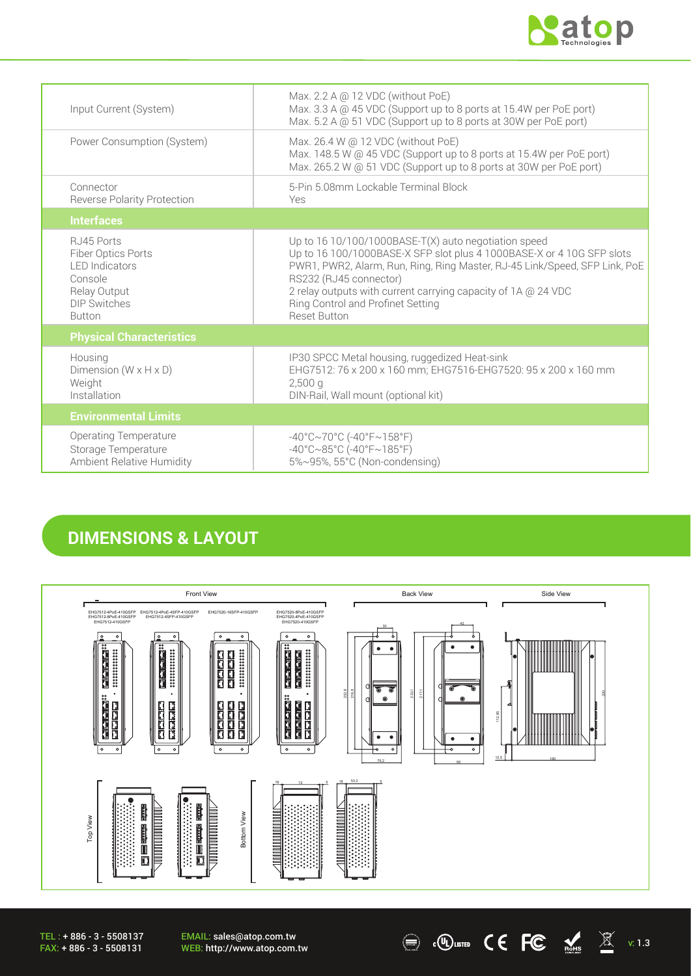

| Input Current (System)                                                                                                        | Max. 2.2 A @ 12 VDC (without PoE)<br>Max. 3.3 A @ 45 VDC (Support up to 8 ports at 15.4W per PoE port)<br>Max. 5.2 A @ 51 VDC (Support up to 8 ports at 30W per PoE port)                                                                                                                                                                                            |
|-------------------------------------------------------------------------------------------------------------------------------|----------------------------------------------------------------------------------------------------------------------------------------------------------------------------------------------------------------------------------------------------------------------------------------------------------------------------------------------------------------------|
| Power Consumption (System)                                                                                                    | Max. 26.4 W @ 12 VDC (without PoE)<br>Max. 148.5 W @ 45 VDC (Support up to 8 ports at 15.4W per PoE port)<br>Max. 265.2 W @ 51 VDC (Support up to 8 ports at 30W per PoE port)                                                                                                                                                                                       |
| Connector<br><b>Reverse Polarity Protection</b>                                                                               | 5-Pin 5.08mm Lockable Terminal Block<br>Yes                                                                                                                                                                                                                                                                                                                          |
| <b>Interfaces</b>                                                                                                             |                                                                                                                                                                                                                                                                                                                                                                      |
| RJ45 Ports<br>Fiber Optics Ports<br><b>I FD Indicators</b><br>Console<br>Relay Output<br><b>DIP Switches</b><br><b>Button</b> | Up to $1610/100/1000$ BASE-T(X) auto negotiation speed<br>Up to 16 100/1000BASE-X SFP slot plus 4 1000BASE-X or 4 10G SFP slots<br>PWR1, PWR2, Alarm, Run, Ring, Ring Master, RJ-45 Link/Speed, SFP Link, PoE<br>RS232 (RJ45 connector)<br>2 relay outputs with current carrying capacity of 1A @ 24 VDC<br>Ring Control and Profinet Setting<br><b>Reset Button</b> |
| <b>Physical Characteristics</b>                                                                                               |                                                                                                                                                                                                                                                                                                                                                                      |
| Housing<br>Dimension ( $W \times H \times D$ )<br>Weight<br>Installation                                                      | IP30 SPCC Metal housing, ruggedized Heat-sink<br>EHG7512: 76 x 200 x 160 mm; EHG7516-EHG7520: 95 x 200 x 160 mm<br>$2,500$ a<br>DIN-Rail, Wall mount (optional kit)                                                                                                                                                                                                  |
| <b>Environmental Limits</b>                                                                                                   |                                                                                                                                                                                                                                                                                                                                                                      |
| <b>Operating Temperature</b><br>Storage Temperature<br>Ambient Relative Humidity                                              | $-40^{\circ}$ C $\sim$ 70°C (-40°F $\sim$ 158°F)<br>$-40^{\circ}$ C $\sim$ 85°C (-40°F $\sim$ 185°F)<br>5%~95%, 55°C (Non-condensing)                                                                                                                                                                                                                                |

### **DIMENSIONS & LAYOUT**



 $\textcircled{\tiny{H}}$  .  $\textcircled{\tiny{K}}$  atoms  $\textcircled{\tiny{K}}$  atoms  $\textcircled{\tiny{K}}$  v: 1.3

EMAIL: sales@atop.com.tw<br>WEB: http://www.atop.com.tw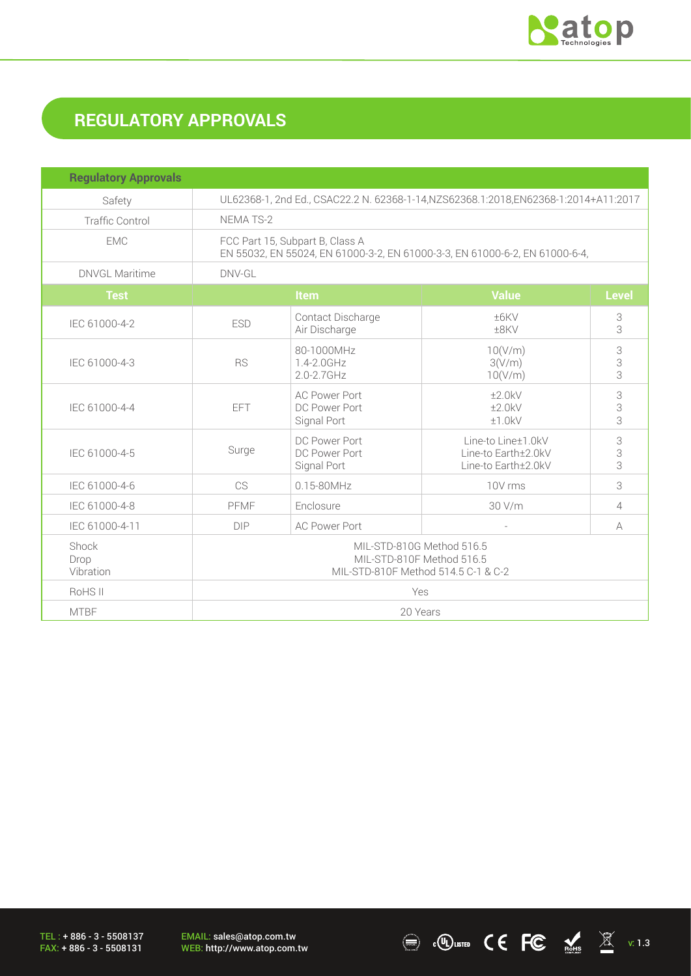

# **REGULATORY APPROVALS**

| <b>Regulatory Approvals</b> |                                                                                                                |                                                      |                                                                  |              |
|-----------------------------|----------------------------------------------------------------------------------------------------------------|------------------------------------------------------|------------------------------------------------------------------|--------------|
| Safety                      | UL62368-1, 2nd Ed., CSAC22.2 N. 62368-1-14, NZS62368.1:2018, EN62368-1:2014+A11:2017                           |                                                      |                                                                  |              |
| <b>Traffic Control</b>      | NEMA TS-2                                                                                                      |                                                      |                                                                  |              |
| <b>EMC</b>                  | FCC Part 15, Subpart B, Class A<br>EN 55032, EN 55024, EN 61000-3-2, EN 61000-3-3, EN 61000-6-2, EN 61000-6-4, |                                                      |                                                                  |              |
| <b>DNVGL Maritime</b>       | DNV-GL                                                                                                         |                                                      |                                                                  |              |
| <b>Test</b>                 |                                                                                                                | Item                                                 | <b>Value</b>                                                     | <b>Level</b> |
| IEC 61000-4-2               | <b>ESD</b>                                                                                                     | Contact Discharge<br>Air Discharge                   | ±6KV<br>±8KV                                                     | 3<br>3       |
| IEC 61000-4-3               | <b>RS</b>                                                                                                      | 80-1000MHz<br>1.4-2.0GHz<br>$2.0 - 2.7$ GHz          | 10(V/m)<br>3(V/m)<br>10(V/m)                                     | 3<br>3<br>3  |
| IEC 61000-4-4               | <b>EFT</b>                                                                                                     | <b>AC Power Port</b><br>DC Power Port<br>Signal Port | ±2.0kV<br>±2.0kV<br>±1.0kV                                       | 3<br>3<br>3  |
| IEC 61000-4-5               | Surge                                                                                                          | DC Power Port<br>DC Power Port<br>Signal Port        | Line-to Line±1.0kV<br>Line-to Earth±2.0kV<br>Line-to Earth±2.0kV | 3<br>3<br>3  |
| IEC 61000-4-6               | <b>CS</b>                                                                                                      | $0.15 - 80$ MHz                                      | 10V rms                                                          | 3            |
| IEC 61000-4-8               | PFMF                                                                                                           | Enclosure                                            | 30 V/m                                                           | 4            |
| IEC 61000-4-11              | <b>DIP</b>                                                                                                     | <b>AC Power Port</b>                                 |                                                                  | A            |
| Shock<br>Drop<br>Vibration  | MIL-STD-810G Method 516.5<br>MIL-STD-810F Method 516.5<br>MIL-STD-810F Method 514.5 C-1 & C-2                  |                                                      |                                                                  |              |
| RoHS II                     | Yes                                                                                                            |                                                      |                                                                  |              |
| <b>MTBF</b>                 | 20 Years                                                                                                       |                                                      |                                                                  |              |

TEL : + 886 - 3 - 5508137 FAX: + 886 - 3 - 5508131

EMAIL: sales@atop.com.tw<br>WEB: http://www.atop.com.tw

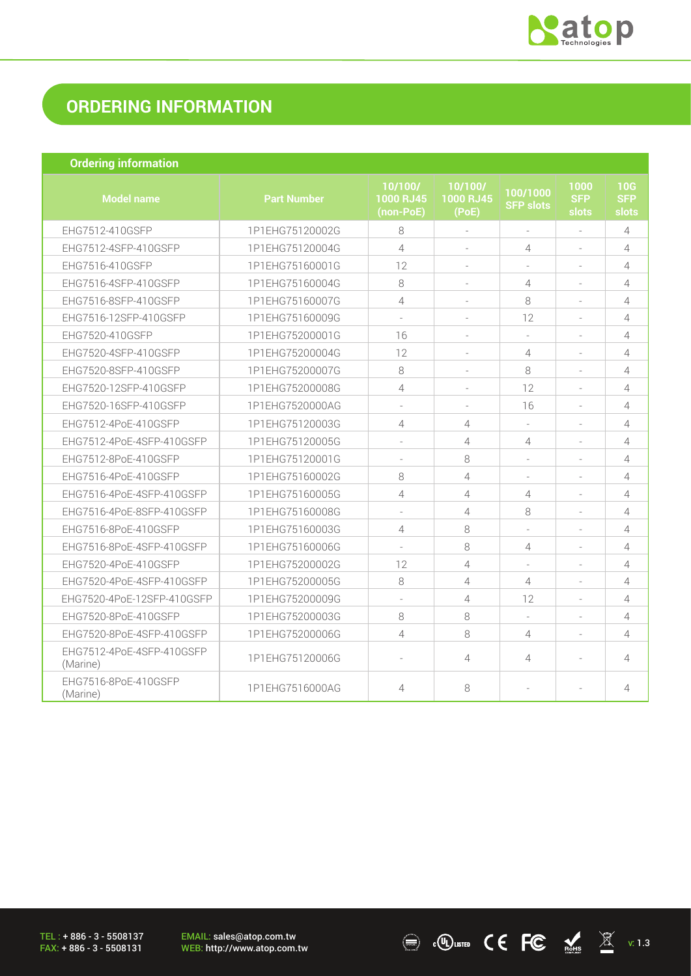

 $\sum_{\text{Rohs}}$   $\sum_{\text{Rohs}}$   $\sum_{\text{Rohs}}$  v: 1.3

## **ORDERING INFORMATION**

| <b>Ordering information</b>           |                    |                                   |                               |                              |                             |                            |
|---------------------------------------|--------------------|-----------------------------------|-------------------------------|------------------------------|-----------------------------|----------------------------|
| <b>Model name</b>                     | <b>Part Number</b> | 10/100/<br>1000 RJ45<br>(non-PoE) | 10/100/<br>1000 RJ45<br>(PoE) | 100/1000<br><b>SFP slots</b> | 1000<br><b>SFP</b><br>slots | 10G<br><b>SFP</b><br>slots |
| EHG7512-410GSFP                       | 1P1EHG75120002G    | 8                                 | ÷.                            | ÷.                           | ÷.                          | $\overline{4}$             |
| EHG7512-4SFP-410GSFP                  | 1P1EHG75120004G    | $\overline{4}$                    |                               | 4                            |                             | $\overline{4}$             |
| EHG7516-410GSFP                       | 1P1EHG75160001G    | 12                                | ÷                             |                              |                             | 4                          |
| EHG7516-4SFP-410GSFP                  | 1P1EHG75160004G    | 8                                 |                               | 4                            |                             | 4                          |
| EHG7516-8SFP-410GSFP                  | 1P1EHG75160007G    | 4                                 | $\sim$                        | 8                            | $\sim$                      | $\overline{4}$             |
| EHG7516-12SFP-410GSFP                 | 1P1EHG75160009G    | $\sim$                            | $\equiv$                      | 12                           | $\sim$                      | $\overline{4}$             |
| EHG7520-410GSFP                       | 1P1EHG75200001G    | 16                                |                               | $\sim$                       |                             | $\overline{4}$             |
| EHG7520-4SFP-410GSFP                  | 1P1EHG75200004G    | 12                                | $\sim$                        | $\overline{4}$               | $\sim$                      | $\overline{4}$             |
| EHG7520-8SFP-410GSFP                  | 1P1EHG75200007G    | 8                                 |                               | 8                            |                             | $\overline{4}$             |
| EHG7520-12SFP-410GSFP                 | 1P1EHG75200008G    | 4                                 | $\sim$                        | 12                           | $\sim$                      | $\overline{4}$             |
| EHG7520-16SFP-410GSFP                 | 1P1EHG7520000AG    | $\sim$                            | $\sim$                        | 16                           | $\sim$                      | $\overline{4}$             |
| EHG7512-4PoE-410GSFP                  | 1P1EHG75120003G    | 4                                 | $\overline{4}$                |                              |                             | $\overline{4}$             |
| EHG7512-4PoE-4SFP-410GSFP             | 1P1EHG75120005G    | $\overline{\phantom{a}}$          | $\overline{4}$                | $\overline{4}$               |                             | $\overline{4}$             |
| EHG7512-8PoE-410GSFP                  | 1P1EHG75120001G    | $\sim$                            | 8                             |                              |                             | $\overline{4}$             |
| EHG7516-4PoE-410GSFP                  | 1P1EHG75160002G    | 8                                 | $\overline{4}$                |                              |                             | $\overline{4}$             |
| EHG7516-4PoE-4SFP-410GSFP             | 1P1EHG75160005G    | 4                                 | $\overline{4}$                | 4                            | $\sim$                      | 4                          |
| EHG7516-4PoE-8SFP-410GSFP             | 1P1EHG75160008G    | $\sim$                            | $\overline{4}$                | 8                            |                             | $\overline{4}$             |
| EHG7516-8PoE-410GSFP                  | 1P1EHG75160003G    | 4                                 | 8                             | $\overline{\phantom{a}}$     |                             | 4                          |
| EHG7516-8PoE-4SFP-410GSFP             | 1P1EHG75160006G    |                                   | 8                             | $\overline{4}$               |                             | $\overline{4}$             |
| EHG7520-4PoE-410GSFP                  | 1P1EHG75200002G    | 12                                | $\overline{4}$                |                              | ÷.                          | $\overline{4}$             |
| EHG7520-4PoE-4SFP-410GSFP             | 1P1EHG75200005G    | 8                                 | $\overline{4}$                | $\overline{4}$               | $\sim$                      | 4                          |
| EHG7520-4PoE-12SFP-410GSFP            | 1P1EHG75200009G    | $\sim$                            | $\overline{4}$                | 12                           |                             | $\overline{4}$             |
| EHG7520-8PoE-410GSFP                  | 1P1EHG75200003G    | 8                                 | 8                             | $\sim$                       |                             | 4                          |
| EHG7520-8PoE-4SFP-410GSFP             | 1P1EHG75200006G    | $\overline{4}$                    | 8                             | $\overline{4}$               |                             | $\overline{4}$             |
| EHG7512-4PoE-4SFP-410GSFP<br>(Marine) | 1P1EHG75120006G    | $\bar{a}$                         | $\overline{4}$                | $\overline{4}$               |                             | 4                          |
| EHG7516-8PoE-410GSFP<br>(Marine)      | 1P1EHG7516000AG    | $\overline{4}$                    | 8                             | ٠                            |                             | 4                          |

TEL : + 886 - 3 - 5508137 FAX: + 886 - 3 - 5508131